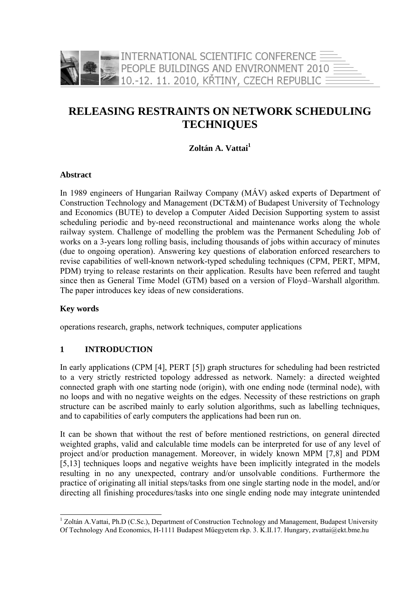

# **RELEASING RESTRAINTS ON NETWORK SCHEDULING TECHNIQUES**

## Zoltán A. Vattai<sup>1</sup>

#### **Abstract**

In 1989 engineers of Hungarian Railway Company (MÁV) asked experts of Department of Construction Technology and Management (DCT&M) of Budapest University of Technology and Economics (BUTE) to develop a Computer Aided Decision Supporting system to assist scheduling periodic and by-need reconstructional and maintenance works along the whole railway system. Challenge of modelling the problem was the Permanent Scheduling Job of works on a 3-years long rolling basis, including thousands of jobs within accuracy of minutes (due to ongoing operation). Answering key questions of elaboration enforced researchers to revise capabilities of well-known network-typed scheduling techniques (CPM, PERT, MPM, PDM) trying to release restarints on their application. Results have been referred and taught since then as General Time Model (GTM) based on a version of Floyd–Warshall algorithm. The paper introduces key ideas of new considerations.

#### **Key words**

-

operations research, graphs, network techniques, computer applications

#### **1 INTRODUCTION**

In early applications (CPM [4], PERT [5]) graph structures for scheduling had been restricted to a very strictly restricted topology addressed as network. Namely: a directed weighted connected graph with one starting node (origin), with one ending node (terminal node), with no loops and with no negative weights on the edges. Necessity of these restrictions on graph structure can be ascribed mainly to early solution algorithms, such as labelling techniques, and to capabilities of early computers the applications had been run on.

It can be shown that without the rest of before mentioned restrictions, on general directed weighted graphs, valid and calculable time models can be interpreted for use of any level of project and/or production management. Moreover, in widely known MPM [7,8] and PDM [5,13] techniques loops and negative weights have been implicitly integrated in the models resulting in no any unexpected, contrary and/or unsolvable conditions. Furthermore the practice of originating all initial steps/tasks from one single starting node in the model, and/or directing all finishing procedures/tasks into one single ending node may integrate unintended

<sup>&</sup>lt;sup>1</sup> Zoltán A.Vattai, Ph.D (C.Sc.), Department of Construction Technology and Management, Budapest University Of Technology And Economics, H-1111 Budapest Műegyetem rkp. 3. K.II.17. Hungary, zvattai@ekt.bme.hu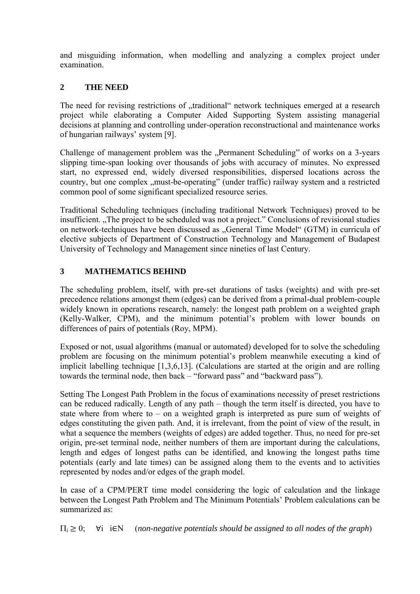and misguiding information, when modelling and analyzing a complex project under examination.

## **2 THE NEED**

The need for revising restrictions of "traditional" network techniques emerged at a research project while elaborating a Computer Aided Supporting System assisting managerial decisions at planning and controlling under-operation reconstructional and maintenance works of hungarian railways' system [9].

Challenge of management problem was the "Permanent Scheduling" of works on a 3-years slipping time-span looking over thousands of jobs with accuracy of minutes. No expressed start, no expressed end, widely diversed responsibilities, dispersed locations across the country, but one complex "must-be-operating" (under traffic) railway system and a restricted common pool of some significant specialized resource series.

Traditional Scheduling techniques (including traditional Network Techniques) proved to be insufficient. The project to be scheduled was not a project." Conclusions of revisional studies on network-techniques have been discussed as "General Time Model" (GTM) in curricula of elective subjects of Department of Construction Technology and Management of Budapest University of Technology and Management since nineties of last Century.

## **3 MATHEMATICS BEHIND**

The scheduling problem, itself, with pre-set durations of tasks (weights) and with pre-set precedence relations amongst them (edges) can be derived from a primal-dual problem-couple widely known in operations research, namely: the longest path problem on a weighted graph (Kelly-Walker, CPM), and the minimum potential's problem with lower bounds on differences of pairs of potentials (Roy, MPM).

Exposed or not, usual algorithms (manual or automated) developed for to solve the scheduling problem are focusing on the minimum potential's problem meanwhile executing a kind of implicit labelling technique [1,3,6,13]. (Calculations are started at the origin and are rolling towards the terminal node, then back – "forward pass" and "backward pass").

Setting The Longest Path Problem in the focus of examinations necessity of preset restrictions can be reduced radically. Length of any path – though the term itself is directed, you have to state where from where to – on a weighted graph is interpreted as pure sum of weights of edges constituting the given path. And, it is irrelevant, from the point of view of the result, in what a sequence the members (weights of edges) are added together. Thus, no need for pre-set origin, pre-set terminal node, neither numbers of them are important during the calculations, length and edges of longest paths can be identified, and knowing the longest paths time potentials (early and late times) can be assigned along them to the events and to activities represented by nodes and/or edges of the graph model.

In case of a CPM/PERT time model considering the logic of calculation and the linkage between the Longest Path Problem and The Minimum Potentials' Problem calculations can be summarized as:

 $\Pi_i \geq 0$ ;  $\forall i$  i $\in \mathbb{N}$  (*non-negative potentials should be assigned to all nodes of the graph*)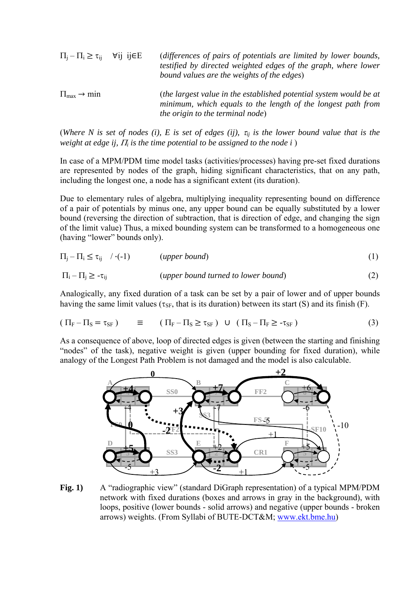| $\Pi_i - \Pi_i \ge \tau_{ii}$ $\forall i \in E$ | (differences of pairs of potentials are limited by lower bounds,<br>testified by directed weighted edges of the graph, where lower<br>bound values are the weights of the edges) |
|-------------------------------------------------|----------------------------------------------------------------------------------------------------------------------------------------------------------------------------------|
| $\Pi_{\text{max}} \rightarrow \min$             | (the largest value in the established potential system would be at<br>minimum, which equals to the length of the longest path from<br><i>the origin to the terminal node</i> )   |

(*Where N is set of nodes (i), E is set of edges (ij),*  $\tau_{ij}$  *is the lower bound value that is the weight at edge ij,* Π*i is the time potential to be assigned to the node i* )

In case of a MPM/PDM time model tasks (activities/processes) having pre-set fixed durations are represented by nodes of the graph, hiding significant characteristics, that on any path, including the longest one, a node has a significant extent (its duration).

Due to elementary rules of algebra, multiplying inequality representing bound on difference of a pair of potentials by minus one, any upper bound can be equally substituted by a lower bound (reversing the direction of subtraction, that is direction of edge, and changing the sign of the limit value) Thus, a mixed bounding system can be transformed to a homogeneous one (having "lower" bounds only).

$$
\Pi_j - \Pi_i \le \tau_{ij} \quad / \cdot (-1) \qquad \qquad (upper bound) \tag{1}
$$

$$
\Pi_i - \Pi_j \ge -\tau_{ij} \qquad \qquad (upper bound turned to lower bound) \tag{2}
$$

Analogically, any fixed duration of a task can be set by a pair of lower and of upper bounds having the same limit values ( $\tau_{SF}$ , that is its duration) between its start (S) and its finish (F).

$$
(\Pi_{\mathcal{F}} - \Pi_{\mathcal{S}} = \tau_{\mathcal{S}\mathcal{F}}) \equiv (\Pi_{\mathcal{F}} - \Pi_{\mathcal{S}} \ge \tau_{\mathcal{S}\mathcal{F}}) \cup (\Pi_{\mathcal{S}} - \Pi_{\mathcal{F}} \ge -\tau_{\mathcal{S}\mathcal{F}})
$$
(3)

As a consequence of above, loop of directed edges is given (between the starting and finishing "nodes" of the task), negative weight is given (upper bounding for fixed duration), while analogy of the Longest Path Problem is not damaged and the model is also calculable.



**Fig. 1)** A "radiographic view" (standard DiGraph representation) of a typical MPM/PDM network with fixed durations (boxes and arrows in gray in the background), with loops, positive (lower bounds - solid arrows) and negative (upper bounds - broken arrows) weights. (From Syllabi of BUTE-DCT&M; www.ekt.bme.hu)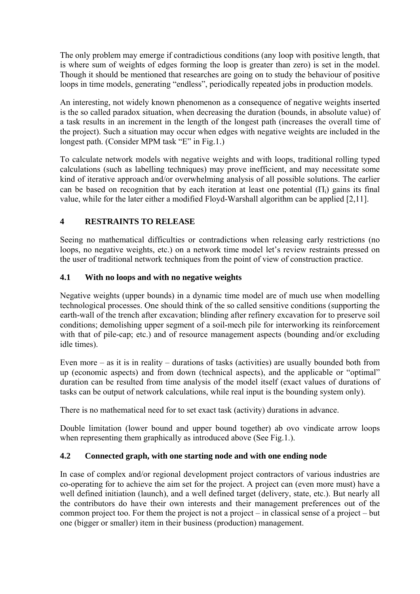The only problem may emerge if contradictious conditions (any loop with positive length, that is where sum of weights of edges forming the loop is greater than zero) is set in the model. Though it should be mentioned that researches are going on to study the behaviour of positive loops in time models, generating "endless", periodically repeated jobs in production models.

An interesting, not widely known phenomenon as a consequence of negative weights inserted is the so called paradox situation, when decreasing the duration (bounds, in absolute value) of a task results in an increment in the length of the longest path (increases the overall time of the project). Such a situation may occur when edges with negative weights are included in the longest path. (Consider MPM task "E" in Fig.1.)

To calculate network models with negative weights and with loops, traditional rolling typed calculations (such as labelling techniques) may prove inefficient, and may necessitate some kind of iterative approach and/or overwhelming analysis of all possible solutions. The earlier can be based on recognition that by each iteration at least one potential  $(\Pi_i)$  gains its final value, while for the later either a modified Floyd-Warshall algorithm can be applied [2,11].

## **4 RESTRAINTS TO RELEASE**

Seeing no mathematical difficulties or contradictions when releasing early restrictions (no loops, no negative weights, etc.) on a network time model let's review restraints pressed on the user of traditional network techniques from the point of view of construction practice.

#### **4.1 With no loops and with no negative weights**

Negative weights (upper bounds) in a dynamic time model are of much use when modelling technological processes. One should think of the so called sensitive conditions (supporting the earth-wall of the trench after excavation; blinding after refinery excavation for to preserve soil conditions; demolishing upper segment of a soil-mech pile for interworking its reinforcement with that of pile-cap; etc.) and of resource management aspects (bounding and/or excluding idle times).

Even more – as it is in reality – durations of tasks (activities) are usually bounded both from up (economic aspects) and from down (technical aspects), and the applicable or "optimal" duration can be resulted from time analysis of the model itself (exact values of durations of tasks can be output of network calculations, while real input is the bounding system only).

There is no mathematical need for to set exact task (activity) durations in advance.

Double limitation (lower bound and upper bound together) ab ovo vindicate arrow loops when representing them graphically as introduced above (See Fig.1.).

#### **4.2 Connected graph, with one starting node and with one ending node**

In case of complex and/or regional development project contractors of various industries are co-operating for to achieve the aim set for the project. A project can (even more must) have a well defined initiation (launch), and a well defined target (delivery, state, etc.). But nearly all the contributors do have their own interests and their management preferences out of the common project too. For them the project is not a project – in classical sense of a project – but one (bigger or smaller) item in their business (production) management.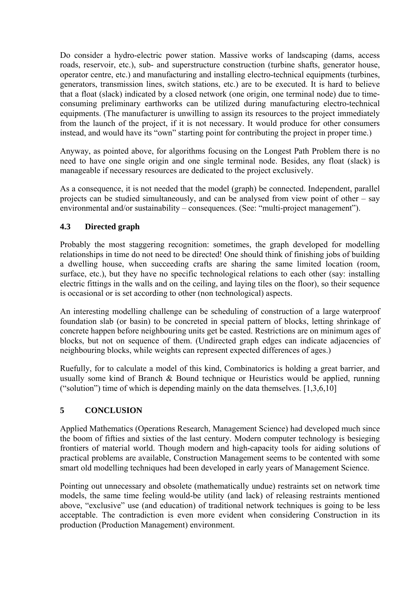Do consider a hydro-electric power station. Massive works of landscaping (dams, access roads, reservoir, etc.), sub- and superstructure construction (turbine shafts, generator house, operator centre, etc.) and manufacturing and installing electro-technical equipments (turbines, generators, transmission lines, switch stations, etc.) are to be executed. It is hard to believe that a float (slack) indicated by a closed network (one origin, one terminal node) due to timeconsuming preliminary earthworks can be utilized during manufacturing electro-technical equipments. (The manufacturer is unwilling to assign its resources to the project immediately from the launch of the project, if it is not necessary. It would produce for other consumers instead, and would have its "own" starting point for contributing the project in proper time.)

Anyway, as pointed above, for algorithms focusing on the Longest Path Problem there is no need to have one single origin and one single terminal node. Besides, any float (slack) is manageable if necessary resources are dedicated to the project exclusively.

As a consequence, it is not needed that the model (graph) be connected. Independent, parallel projects can be studied simultaneously, and can be analysed from view point of other – say environmental and/or sustainability – consequences. (See: "multi-project management").

### **4.3 Directed graph**

Probably the most staggering recognition: sometimes, the graph developed for modelling relationships in time do not need to be directed! One should think of finishing jobs of building a dwelling house, when succeeding crafts are sharing the same limited location (room, surface, etc.), but they have no specific technological relations to each other (say: installing electric fittings in the walls and on the ceiling, and laying tiles on the floor), so their sequence is occasional or is set according to other (non technological) aspects.

An interesting modelling challenge can be scheduling of construction of a large waterproof foundation slab (or basin) to be concreted in special pattern of blocks, letting shrinkage of concrete happen before neighbouring units get be casted. Restrictions are on minimum ages of blocks, but not on sequence of them. (Undirected graph edges can indicate adjacencies of neighbouring blocks, while weights can represent expected differences of ages.)

Ruefully, for to calculate a model of this kind, Combinatorics is holding a great barrier, and usually some kind of Branch & Bound technique or Heuristics would be applied, running ("solution") time of which is depending mainly on the data themselves.  $[1,3,6,10]$ 

## **5 CONCLUSION**

Applied Mathematics (Operations Research, Management Science) had developed much since the boom of fifties and sixties of the last century. Modern computer technology is besieging frontiers of material world. Though modern and high-capacity tools for aiding solutions of practical problems are available, Construction Management seems to be contented with some smart old modelling techniques had been developed in early years of Management Science.

Pointing out unnecessary and obsolete (mathematically undue) restraints set on network time models, the same time feeling would-be utility (and lack) of releasing restraints mentioned above, "exclusive" use (and education) of traditional network techniques is going to be less acceptable. The contradiction is even more evident when considering Construction in its production (Production Management) environment.